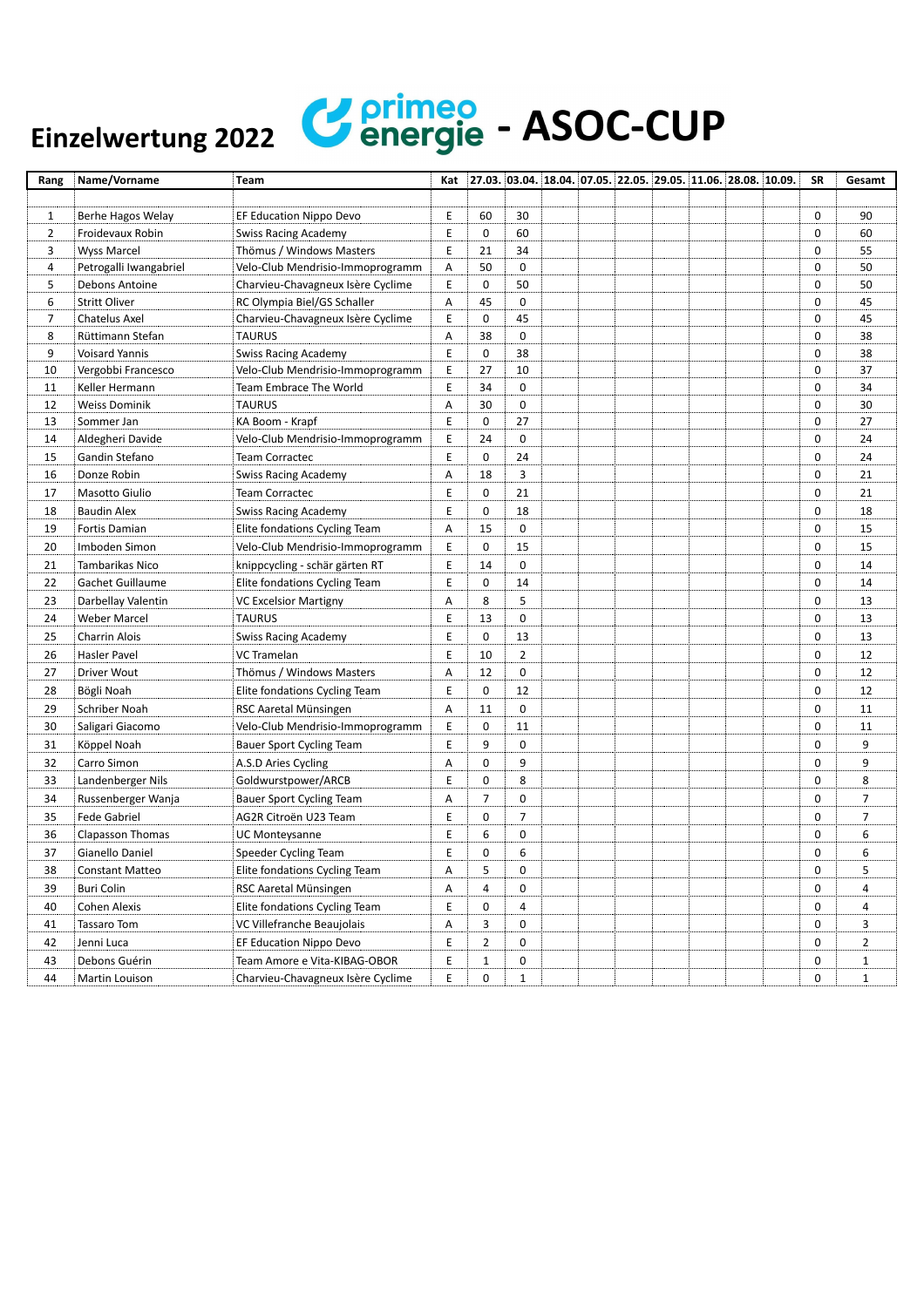## Einzelwertung 2022 **Continued** - ASOC-CUP

| Rang           | Name/Vorname           | Team                              | Kat |                | 27.03. 03.04. 18.04. 07.05. 22.05. 29.05. 11.06. 28.08. 10.09. |  |  |  | <b>SR</b> | Gesamt         |
|----------------|------------------------|-----------------------------------|-----|----------------|----------------------------------------------------------------|--|--|--|-----------|----------------|
|                |                        |                                   |     |                |                                                                |  |  |  |           |                |
| $\mathbf{1}$   | Berhe Hagos Welay      | EF Education Nippo Devo           | Е   | 60             | 30                                                             |  |  |  | 0         | 90             |
| $\overline{2}$ | Froidevaux Robin       | <b>Swiss Racing Academy</b>       | Е   | 0              | 60                                                             |  |  |  | 0         | 60             |
| 3              | <b>Wyss Marcel</b>     | Thömus / Windows Masters          | E   | 21             | 34                                                             |  |  |  | 0         | 55             |
| 4              | Petrogalli Iwangabriel | Velo-Club Mendrisio-Immoprogramm  | Α   | 50             | 0                                                              |  |  |  | 0         | 50             |
| 5              | Debons Antoine         | Charvieu-Chavagneux Isère Cyclime | E   | 0              | 50                                                             |  |  |  | 0         | 50             |
| 6              | <b>Stritt Oliver</b>   | RC Olympia Biel/GS Schaller       | Α   | 45             | $\mathbf 0$                                                    |  |  |  | 0         | 45             |
| 7              | <b>Chatelus Axel</b>   | Charvieu-Chavagneux Isère Cyclime | E   | 0              | 45                                                             |  |  |  | 0         | 45             |
| 8              | Rüttimann Stefan       | <b>TAURUS</b>                     | А   | 38             | 0                                                              |  |  |  | 0         | 38             |
| 9              | <b>Voisard Yannis</b>  | <b>Swiss Racing Academy</b>       | E   | 0              | 38                                                             |  |  |  | 0         | 38             |
| 10             | Vergobbi Francesco     | Velo-Club Mendrisio-Immoprogramm  | Ε   | 27             | 10                                                             |  |  |  | 0         | 37             |
| 11             | Keller Hermann         | Team Embrace The World            | E   | 34             | $\mathbf 0$                                                    |  |  |  | 0         | 34             |
| 12             | <b>Weiss Dominik</b>   | <b>TAURUS</b>                     | Α   | 30             | 0                                                              |  |  |  | 0         | 30             |
| 13             | Sommer Jan             | KA Boom - Krapf                   | E   | 0              | 27                                                             |  |  |  | 0         | 27             |
| 14             | Aldegheri Davide       | Velo-Club Mendrisio-Immoprogramm  | Ε   | 24             | $\mathbf 0$                                                    |  |  |  | 0         | 24             |
| 15             | Gandin Stefano         | Team Corractec                    | E   | 0              | 24                                                             |  |  |  | 0         | 24             |
| 16             | Donze Robin            | Swiss Racing Academy              | Α   | 18             | 3                                                              |  |  |  | 0         | 21             |
| 17             | Masotto Giulio         | Team Corractec                    | E   | 0              | 21                                                             |  |  |  | 0         | 21             |
| 18             | <b>Baudin Alex</b>     | <b>Swiss Racing Academy</b>       | E   | $\mathbf 0$    | 18                                                             |  |  |  | 0         | 18             |
| 19             | Fortis Damian          | Elite fondations Cycling Team     | Α   | 15             | 0                                                              |  |  |  | 0         | 15             |
| 20             | Imboden Simon          | Velo-Club Mendrisio-Immoprogramm  | E   | 0              | 15                                                             |  |  |  | 0         | 15             |
| 21             | Tambarikas Nico        | knippcycling - schär gärten RT    | E   | 14             | $\pmb{0}$                                                      |  |  |  | 0         | 14             |
| 22             | Gachet Guillaume       | Elite fondations Cycling Team     | E   | 0              | 14                                                             |  |  |  | 0         | 14             |
| 23             | Darbellay Valentin     | VC Excelsior Martigny             | Α   | 8              | 5                                                              |  |  |  | 0         | 13             |
| 24             | <b>Weber Marcel</b>    | <b>TAURUS</b>                     | Ε   | 13             | 0                                                              |  |  |  | 0         | 13             |
| 25             | Charrin Alois          | <b>Swiss Racing Academy</b>       | E   | 0              | 13                                                             |  |  |  | 0         | 13             |
| 26             | Hasler Pavel           | VC Tramelan                       | E   | 10             | $\overline{2}$                                                 |  |  |  | 0         | 12             |
| 27             | Driver Wout            | Thömus / Windows Masters          | А   | 12             | $\pmb{0}$                                                      |  |  |  | 0         | 12             |
| 28             | Bögli Noah             | Elite fondations Cycling Team     | E   | 0              | 12                                                             |  |  |  | 0         | 12             |
| 29             | Schriber Noah          | RSC Aaretal Münsingen             | Α   | 11             | 0                                                              |  |  |  | 0         | 11             |
| 30             | Saligari Giacomo       | Velo-Club Mendrisio-Immoprogramm  | Ε   | 0              | 11                                                             |  |  |  | 0         | 11             |
| 31             | Köppel Noah            | <b>Bauer Sport Cycling Team</b>   | E   | 9              | $\pmb{0}$                                                      |  |  |  | 0         | 9              |
| 32             | Carro Simon            | A.S.D Aries Cycling               | Α   | 0              | 9                                                              |  |  |  | 0         | 9              |
| 33             | Landenberger Nils      | Goldwurstpower/ARCB               | E   | 0              | 8                                                              |  |  |  | 0         | 8              |
| 34             | Russenberger Wanja     | <b>Bauer Sport Cycling Team</b>   | А   | 7              | 0                                                              |  |  |  | 0         | 7              |
| 35             | Fede Gabriel           | AG2R Citroën U23 Team             | E   | 0              | 7                                                              |  |  |  | 0         | 7              |
| 36             | Clapasson Thomas       | UC Monteysanne                    | E   | 6              | 0                                                              |  |  |  | 0         | 6              |
| 37             | Gianello Daniel        | Speeder Cycling Team              | Ε   | 0              | 6                                                              |  |  |  | 0         | 6              |
| 38             | Constant Matteo        | Elite fondations Cycling Team     | Α   | 5              | 0                                                              |  |  |  | 0         | 5              |
| 39             | Buri Colin             | RSC Aaretal Münsingen             | Α   | 4              | 0                                                              |  |  |  | 0         | 4              |
| 40             | Cohen Alexis           | Elite fondations Cycling Team     | E   | 0              | 4                                                              |  |  |  | 0         | 4              |
| 41             | Tassaro Tom            | VC Villefranche Beaujolais        | Α   | 3              | 0                                                              |  |  |  | 0         | 3              |
| 42             | Jenni Luca             | EF Education Nippo Devo           | E   | $\overline{2}$ | 0                                                              |  |  |  | 0         | $\overline{2}$ |
| 43             | Debons Guérin          | Team Amore e Vita-KIBAG-OBOR      | E   | $\mathbf{1}$   | 0                                                              |  |  |  | 0         | $\mathbf{1}$   |
| 44             | Martin Louison         | Charvieu-Chavagneux Isère Cyclime | E   | 0              | $\mathbf{1}$                                                   |  |  |  | 0         | $\mathbf{1}$   |
|                |                        |                                   |     |                |                                                                |  |  |  |           |                |